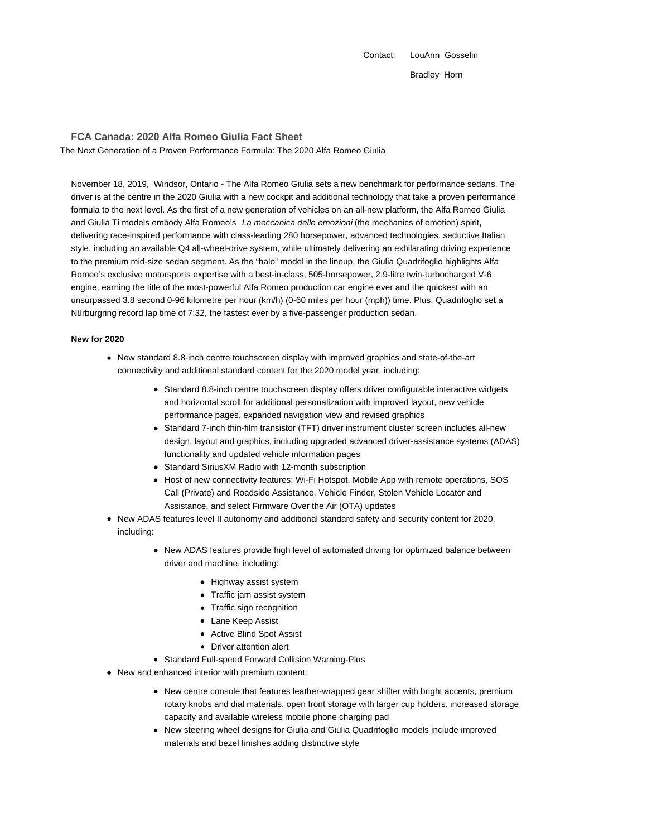Contact: LouAnn Gosselin Bradley Horn

**FCA Canada: 2020 Alfa Romeo Giulia Fact Sheet**

The Next Generation of a Proven Performance Formula: The 2020 Alfa Romeo Giulia

November 18, 2019, Windsor, Ontario - The Alfa Romeo Giulia sets a new benchmark for performance sedans. The driver is at the centre in the 2020 Giulia with a new cockpit and additional technology that take a proven performance formula to the next level. As the first of a new generation of vehicles on an all-new platform, the Alfa Romeo Giulia and Giulia Ti models embody Alfa Romeo's La meccanica delle emozioni (the mechanics of emotion) spirit, delivering race-inspired performance with class-leading 280 horsepower, advanced technologies, seductive Italian style, including an available Q4 all-wheel-drive system, while ultimately delivering an exhilarating driving experience to the premium mid-size sedan segment. As the "halo" model in the lineup, the Giulia Quadrifoglio highlights Alfa Romeo's exclusive motorsports expertise with a best-in-class, 505-horsepower, 2.9-litre twin-turbocharged V-6 engine, earning the title of the most-powerful Alfa Romeo production car engine ever and the quickest with an unsurpassed 3.8 second 0-96 kilometre per hour (km/h) (0-60 miles per hour (mph)) time. Plus, Quadrifoglio set a Nürburgring record lap time of 7:32, the fastest ever by a five-passenger production sedan.

#### **New for 2020**

- New standard 8.8-inch centre touchscreen display with improved graphics and state-of-the-art connectivity and additional standard content for the 2020 model year, including:
	- Standard 8.8-inch centre touchscreen display offers driver configurable interactive widgets and horizontal scroll for additional personalization with improved layout, new vehicle performance pages, expanded navigation view and revised graphics
	- Standard 7-inch thin-film transistor (TFT) driver instrument cluster screen includes all-new design, layout and graphics, including upgraded advanced driver-assistance systems (ADAS) functionality and updated vehicle information pages
	- Standard SiriusXM Radio with 12-month subscription
	- Host of new connectivity features: Wi-Fi Hotspot, Mobile App with remote operations, SOS Call (Private) and Roadside Assistance, Vehicle Finder, Stolen Vehicle Locator and Assistance, and select Firmware Over the Air (OTA) updates
- New ADAS features level II autonomy and additional standard safety and security content for 2020, including:
	- New ADAS features provide high level of automated driving for optimized balance between driver and machine, including:
		- Highway assist system
		- Traffic jam assist system
		- Traffic sign recognition
		- Lane Keep Assist
		- Active Blind Spot Assist
		- Driver attention alert
	- Standard Full-speed Forward Collision Warning-Plus
- New and enhanced interior with premium content:
	- New centre console that features leather-wrapped gear shifter with bright accents, premium rotary knobs and dial materials, open front storage with larger cup holders, increased storage capacity and available wireless mobile phone charging pad
	- New steering wheel designs for Giulia and Giulia Quadrifoglio models include improved materials and bezel finishes adding distinctive style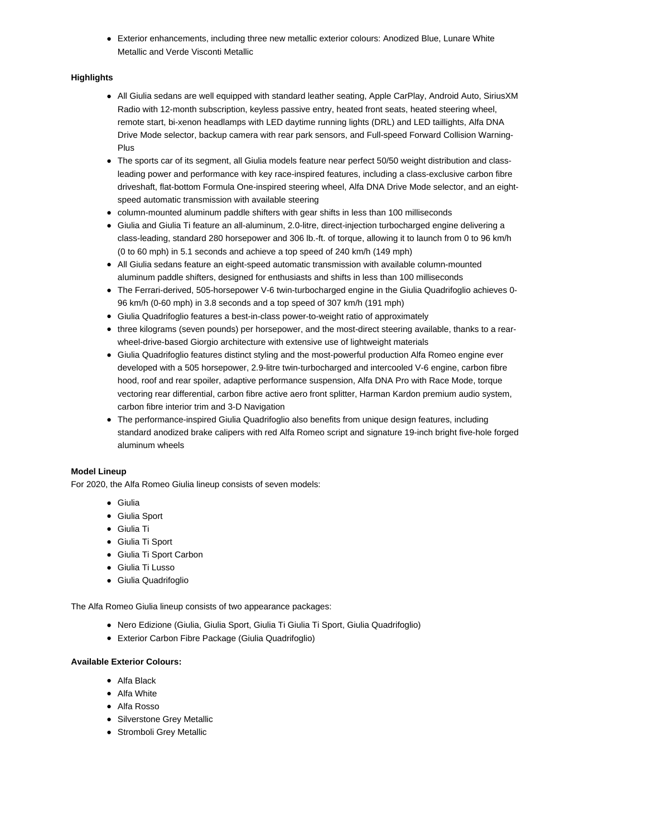Exterior enhancements, including three new metallic exterior colours: Anodized Blue, Lunare White Metallic and Verde Visconti Metallic

# **Highlights**

- All Giulia sedans are well equipped with standard leather seating, Apple CarPlay, Android Auto, SiriusXM Radio with 12-month subscription, keyless passive entry, heated front seats, heated steering wheel, remote start, bi-xenon headlamps with LED daytime running lights (DRL) and LED taillights, Alfa DNA Drive Mode selector, backup camera with rear park sensors, and Full-speed Forward Collision Warning-Plus
- The sports car of its segment, all Giulia models feature near perfect 50/50 weight distribution and classleading power and performance with key race-inspired features, including a class-exclusive carbon fibre driveshaft, flat-bottom Formula One-inspired steering wheel, Alfa DNA Drive Mode selector, and an eightspeed automatic transmission with available steering
- column-mounted aluminum paddle shifters with gear shifts in less than 100 milliseconds
- Giulia and Giulia Ti feature an all-aluminum, 2.0-litre, direct-injection turbocharged engine delivering a class-leading, standard 280 horsepower and 306 lb.-ft. of torque, allowing it to launch from 0 to 96 km/h (0 to 60 mph) in 5.1 seconds and achieve a top speed of 240 km/h (149 mph)
- All Giulia sedans feature an eight-speed automatic transmission with available column-mounted aluminum paddle shifters, designed for enthusiasts and shifts in less than 100 milliseconds
- The Ferrari-derived, 505-horsepower V-6 twin-turbocharged engine in the Giulia Quadrifoglio achieves 0- 96 km/h (0-60 mph) in 3.8 seconds and a top speed of 307 km/h (191 mph)
- Giulia Quadrifoglio features a best-in-class power-to-weight ratio of approximately
- three kilograms (seven pounds) per horsepower, and the most-direct steering available, thanks to a rearwheel-drive-based Giorgio architecture with extensive use of lightweight materials
- Giulia Quadrifoglio features distinct styling and the most-powerful production Alfa Romeo engine ever developed with a 505 horsepower, 2.9-litre twin-turbocharged and intercooled V-6 engine, carbon fibre hood, roof and rear spoiler, adaptive performance suspension, Alfa DNA Pro with Race Mode, torque vectoring rear differential, carbon fibre active aero front splitter, Harman Kardon premium audio system, carbon fibre interior trim and 3-D Navigation
- The performance-inspired Giulia Quadrifoglio also benefits from unique design features, including standard anodized brake calipers with red Alfa Romeo script and signature 19-inch bright five-hole forged aluminum wheels

### **Model Lineup**

For 2020, the Alfa Romeo Giulia lineup consists of seven models:

- Giulia
- Giulia Sport
- Giulia Ti
- Giulia Ti Sport
- Giulia Ti Sport Carbon
- Giulia Ti Lusso
- Giulia Quadrifoglio

The Alfa Romeo Giulia lineup consists of two appearance packages:

- Nero Edizione (Giulia, Giulia Sport, Giulia Ti Giulia Ti Sport, Giulia Quadrifoglio)
- Exterior Carbon Fibre Package (Giulia Quadrifoglio)

# **Available Exterior Colours:**

- Alfa Black
- Alfa White
- Alfa Rosso
- Silverstone Grey Metallic
- Stromboli Grey Metallic